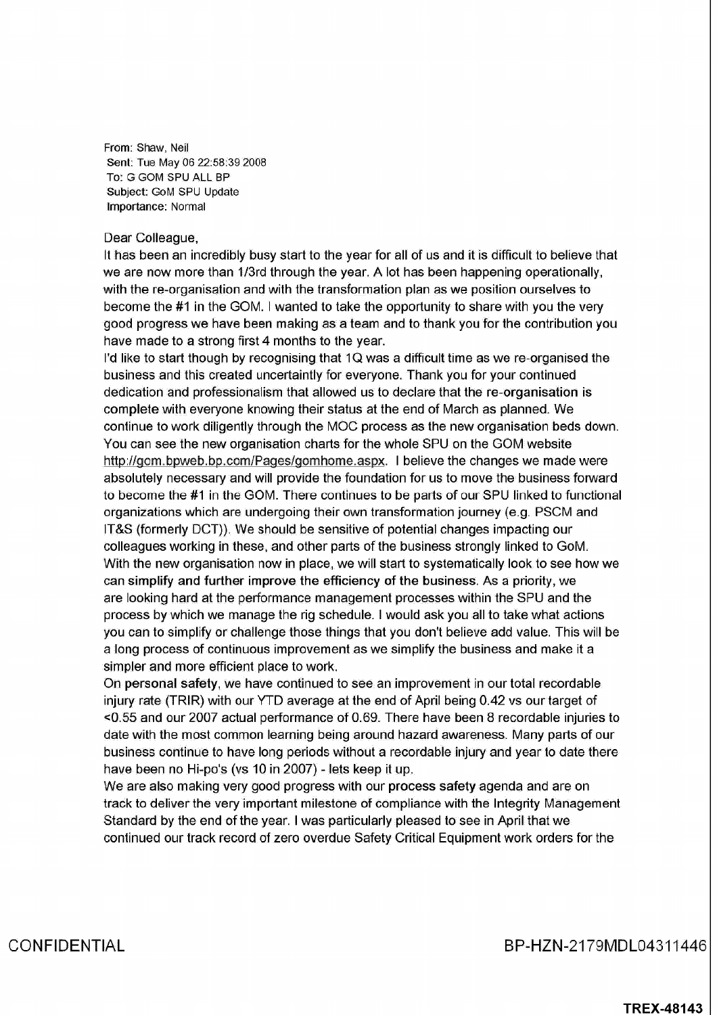From: Shaw, Neil Sent: Tue May 06 22:58:39 2008 To: G GOM SPU ALL BP Subject: GoM SPU Update Importance: Normal

## Dear Colleague,

It has been an incredibly busy start to the year for all of us and it is difficult to believe that we are now more than 1/3rd through the year. A lot has been happening operationally, with the re-organisation and with the transformation plan as we position ourselves to become the #1 in the GOM. I wanted to take the opportunity to share with you the very good progress we have been making as a team and to thank you for the contribution you have made to a strong first 4 months to the year.

I'd like to start though by recognising that 1Q was a difficult time as we re-organised the business and this created uncertaintly for everyone Thank you for your continued dedication and professionalism that allowed us to declare that the re-organisation is complete with everyone knowing their status at the end of March as planned We continue to work diligently through the MOC process as the new organisation beds down You can see the new organisation charts for the whole SPU on the GOM website http://gom.bpweb.bp.com/Pages/gomhome.aspx. I believe the changes we made were absolutely necessary and will provide the foundation for us to move the business forward to become the #1 in the GOM. There continues to be parts of our SPU linked to functional organizations which are undergoing their own transformation journey (e.g. PSCM and IT&S (formerly DCT)). We should be sensitive of potential changes impacting our colleagues working in these, and other parts of the business strongly linked to GoM. With the new organisation now in place, we will start to systematically look to see how we can simplify and further improve the efficiency of the business As priority we are looking hard at the performance management processes within the SPU and the process by which we manage the rig schedule. I would ask you all to take what actions you can to simplify or challenge those things that you don't believe add value. This will be a long process of continuous improvement as we simplify the business and make it a simpler and more efficient place to work

On personal safety we have continued to see an improvement in our total recordable injury rate (TRIR) with our YTD average at the end of April being 0.42 vs our target of  $<$ 0.55 and our 2007 actual performance of 0.69. There have been 8 recordable injuries to date with the most common learning being around hazard awareness Many parts of our business continue to have long periods without a recordable injury and year to date there have been no Hi-po's (vs 10 in 2007) - lets keep it up.

We are also making very good progress with our process safety agenda and are on track to deliver the very important milestone of compliance with the Integrity Management Standard by the end of the year. I was particularly pleased to see in April that we continued our track record of zero overdue Safety Critical Equipment work orders for the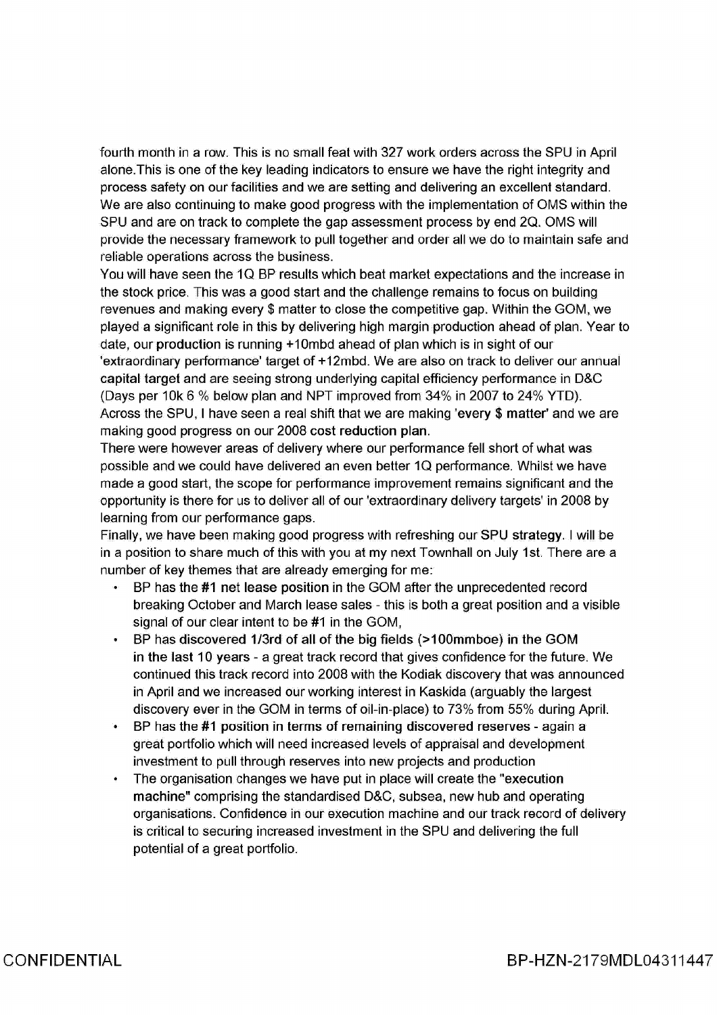fourth month in a row. This is no small feat with 327 work orders across the SPU in April alone.This is one of the key leading indicators to ensure we have the right integrity and process safety on our facilities and we are setting and delivering an excellent standard We are also continuing to make good progress with the implementation of OMS within the SPU and are on track to complete the gap assessment process by end 2Q. OMS will provide the necessary framework to pull together and order all we do to maintain safe and reliable operations across the business

You will have seen the IQ BP results which beat market expectations and the increase in the stock price. This was a good start and the challenge remains to focus on building revenues and making every \$ matter to close the competitive gap. Within the GOM, we played a significant role in this by delivering high margin production ahead of plan. Year to date, our production is running  $+10$ mbd ahead of plan which is in sight of our 'extraordinary performance' target of +12mbd. We are also on track to deliver our annual capital target and are seeing strong underlying capital efficiency performance in D&C (Days per 10k 6 % below plan and NPT improved from 34% in 2007 to 24% YTD). Across the SPU, I have seen a real shift that we are making 'every  $$$  matter' and we are making good progress on our 2008 cost reduction plan

There were however areas of delivery where our performance fell short of what was possible and we could have delivered an even better 1Q performance Whilst we have made a good start, the scope for performance improvement remains significant and the opportunity is there for us to deliver all of our 'extraordinary delivery targets' in 2008 by learning from our performance gaps

Finally, we have been making good progress with refreshing our SPU strategy. I will be in a position to share much of this with you at my next Townhall on July 1st. There are a number of key themes that are already emerging for me

- BP has the #1 net lease position in the GOM after the unprecedented record breaking October and March lease sales - this is both a great position and a visible signal of our clear intent to be  $#1$  in the GOM.
- BP has discovered 1/3rd of all of the big fields (>100mmboe) in the GOM in the last 10 years - a great track record that gives confidence for the future. We continued this track record into 2008 with the Kodiak discovery that was announced in April and we increased our working interest in Kaskida (arguably the largest discovery ever in the GOM in terms of oil-in-place) to 73% from 55% during April.
- BP has the  $#1$  position in terms of remaining discovered reserves again a great portfolio which will need increased levels of appraisal and development investment to pull through reserves into new projects and production
- The organisation changes we have put in place will create the "execution machine" comprising the standardised D&C, subsea, new hub and operating organisations Confidence in our execution machine and our track record of delivery is critical to securing increased investment in the SPU and delivering the full potential of a great portfolio.